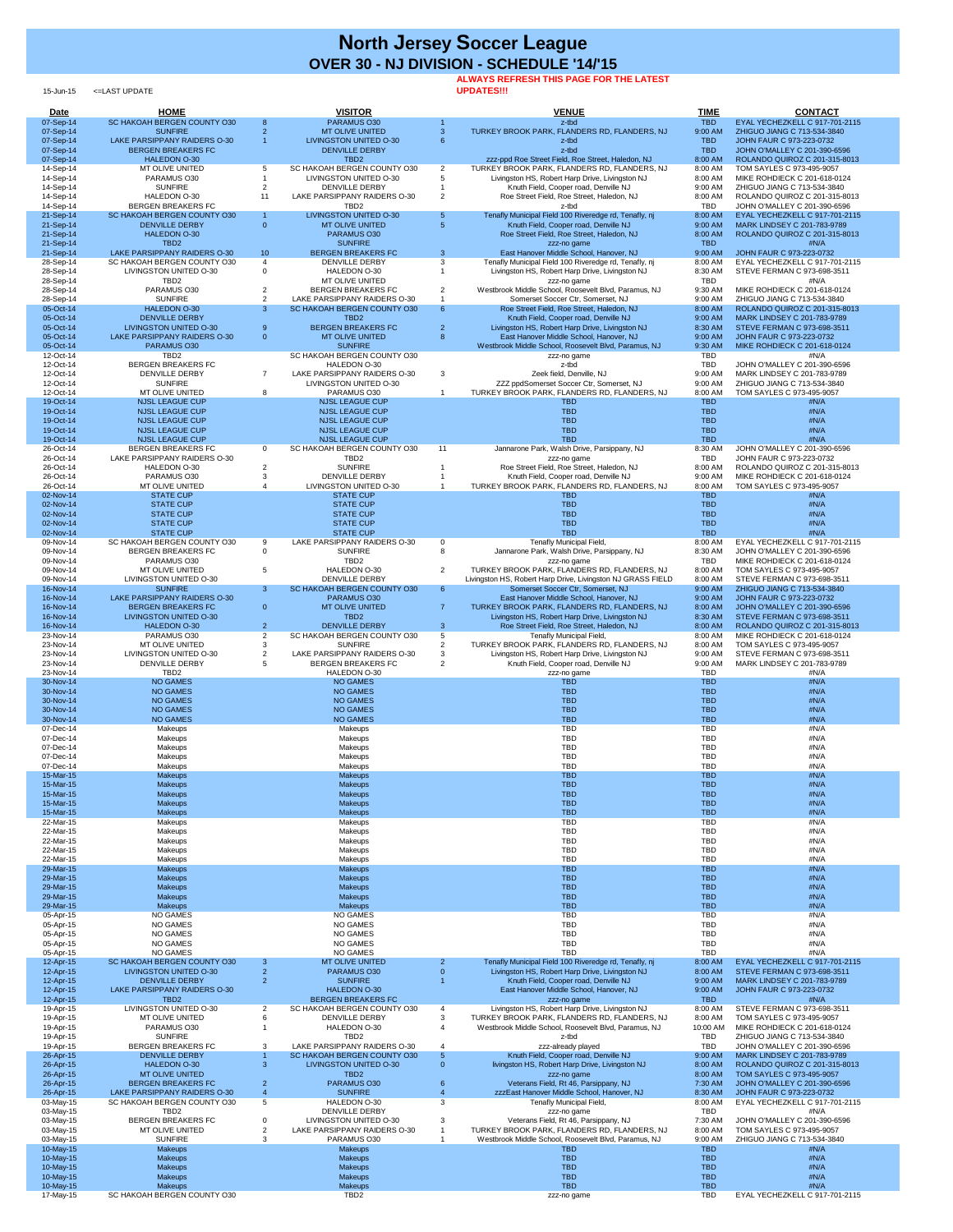15-Jun-15 <=LAST UPDATE

## **ALWAYS REFRESH THIS PAGE FOR THE LATEST**

**UPDATES!!!**

| Date                   | <b>HOME</b>                                                 |                     | <b>VISITOR</b>                                               |                                  | <b>VENUE</b>                                                                                         | <b>TIME</b>              | <b>CONTACT</b>                                                 |
|------------------------|-------------------------------------------------------------|---------------------|--------------------------------------------------------------|----------------------------------|------------------------------------------------------------------------------------------------------|--------------------------|----------------------------------------------------------------|
| 07-Sep-14<br>07-Sep-14 | SC HAKOAH BERGEN COUNTY 030<br><b>SUNFIRE</b>               | 8<br>$\overline{2}$ | PARAMUS O30<br><b>MT OLIVE UNITED</b>                        | $\mathbf{3}$                     | z-tbd<br>TURKEY BROOK PARK, FLANDERS RD, FLANDERS, NJ                                                | <b>TBD</b><br>9:00 AM    | EYAL YECHEZKELL C 917-701-2115<br>ZHIGUO JIANG C 713-534-3840  |
| 07-Sep-14              | LAKE PARSIPPANY RAIDERS O-30                                |                     | LIVINGSTON UNITED O-30                                       | 6                                | z-tbd                                                                                                | <b>TBD</b>               | JOHN FAUR C 973-223-0732                                       |
| 07-Sep-14              | <b>BERGEN BREAKERS FC</b>                                   |                     | <b>DENVILLE DERBY</b>                                        |                                  | z-tbd                                                                                                | <b>TBD</b>               | JOHN O'MALLEY C 201-390-6596                                   |
| 07-Sep-14              | <b>HALEDON O-30</b>                                         |                     | TBD <sub>2</sub><br>SC HAKOAH BERGEN COUNTY 030              |                                  | zzz-ppd Roe Street Field, Roe Street, Haledon, NJ                                                    | 8:00 AM                  | ROLANDO QUIROZ C 201-315-8013                                  |
| 14-Sep-14<br>14-Sep-14 | MT OLIVE UNITED<br>PARAMUS O30                              |                     | LIVINGSTON UNITED O-30                                       | $\overline{2}$                   | TURKEY BROOK PARK, FLANDERS RD, FLANDERS, NJ<br>Livingston HS, Robert Harp Drive, Livingston NJ      | 8:00 AM<br>8:00 AM       | TOM SAYLES C 973-495-9057<br>MIKE ROHDIECK C 201-618-0124      |
| 14-Sep-14              | <b>SUNFIRE</b>                                              |                     | <b>DENVILLE DERBY</b>                                        |                                  | Knuth Field, Cooper road, Denville NJ                                                                | 9:00 AM                  | ZHIGUO JIANG C 713-534-3840                                    |
| 14-Sep-14              | HALEDON O-30                                                | 11                  | LAKE PARSIPPANY RAIDERS O-30                                 | 2                                | Roe Street Field, Roe Street, Haledon, NJ                                                            | 8:00 AM<br><b>TBD</b>    | ROLANDO QUIROZ C 201-315-8013                                  |
| 14-Sep-14<br>21-Sep-14 | <b>BERGEN BREAKERS FC</b><br>SC HAKOAH BERGEN COUNTY 030    |                     | TBD <sub>2</sub><br><b>LIVINGSTON UNITED O-30</b>            | 5                                | z-tbd<br>Tenafly Municipal Field 100 Riveredge rd, Tenafly, nj                                       | 8:00 AM                  | JOHN O'MALLEY C 201-390-6596<br>EYAL YECHEZKELL C 917-701-2115 |
| 21-Sep-14              | <b>DENVILLE DERBY</b>                                       | $\overline{0}$      | <b>MT OLIVE UNITED</b>                                       | $5\overline{5}$                  | Knuth Field, Cooper road, Denville NJ                                                                | 9:00 AM                  | MARK LINDSEY C 201-783-9789                                    |
| 21-Sep-14              | <b>HALEDON O-30</b>                                         |                     | PARAMUS O30                                                  |                                  | Roe Street Field, Roe Street, Haledon, NJ                                                            | 8:00 AM                  | ROLANDO QUIROZ C 201-315-8013                                  |
| 21-Sep-14<br>21-Sep-14 | TBD <sub>2</sub><br>LAKE PARSIPPANY RAIDERS O-30            | 10 <sup>°</sup>     | <b>SUNFIRE</b><br><b>BERGEN BREAKERS FC</b>                  | $\mathbf{3}$                     | zzz-no game<br>East Hanover Middle School, Hanover, NJ                                               | <b>TBD</b><br>9:00 AM    | #N/A<br>JOHN FAUR C 973-223-0732                               |
| 28-Sep-14              | SC HAKOAH BERGEN COUNTY 030                                 | $\overline{4}$      | <b>DENVILLE DERBY</b>                                        | 3                                | Tenafly Municipal Field 100 Riveredge rd, Tenafly, nj                                                | 8:00 AM                  | EYAL YECHEZKELL C 917-701-2115                                 |
| 28-Sep-14              | <b>LIVINGSTON UNITED O-30</b>                               | $\Omega$            | HALEDON O-30                                                 |                                  | Livingston HS, Robert Harp Drive, Livingston NJ                                                      | 8:30 AM                  | STEVE FERMAN C 973-698-3511                                    |
| 28-Sep-14<br>28-Sep-14 | TBD <sub>2</sub><br>PARAMUS O30                             |                     | MT OLIVE UNITED<br><b>BERGEN BREAKERS FC</b>                 | $\overline{2}$                   | zzz-no game<br>Westbrook Middle School, Roosevelt Blvd, Paramus, NJ                                  | <b>TBD</b><br>9:30 AM    | #N/A<br>MIKE ROHDIECK C 201-618-0124                           |
| 28-Sep-14              | <b>SUNFIRE</b>                                              | $\overline{2}$      | LAKE PARSIPPANY RAIDERS O-30                                 |                                  | Somerset Soccer Ctr. Somerset, NJ                                                                    | 9:00 AM                  | ZHIGUO JIANG C 713-534-3840                                    |
| 05-Oct-14              | <b>HALEDON O-30</b>                                         | $\mathbf{3}$        | SC HAKOAH BERGEN COUNTY 030                                  | $6^{\circ}$                      | Roe Street Field, Roe Street, Haledon, NJ                                                            | 8:00 AM                  | ROLANDO QUIROZ C 201-315-8013                                  |
| 05-Oct-14<br>05-Oct-14 | <b>DENVILLE DERBY</b><br><b>LIVINGSTON UNITED O-30</b>      | 9                   | TBD <sub>2</sub><br><b>BERGEN BREAKERS FC</b>                | $\overline{2}$                   | Knuth Field, Cooper road, Denville NJ<br>Livingston HS, Robert Harp Drive, Livingston NJ             | 9:00 AM<br>8:30 AM       | MARK LINDSEY C 201-783-9789<br>STEVE FERMAN C 973-698-3511     |
| 05-Oct-14              | <b>LAKE PARSIPPANY RAIDERS O-30</b>                         | $\overline{0}$      | <b>MT OLIVE UNITED</b>                                       | 8                                | East Hanover Middle School, Hanover, NJ                                                              | 9:00 AM                  | JOHN FAUR C 973-223-0732                                       |
| 05-Oct-14              | PARAMUS O30                                                 |                     | <b>SUNFIRE</b>                                               |                                  | Westbrook Middle School, Roosevelt Blvd, Paramus, NJ                                                 | 9:30 AM                  | MIKE ROHDIECK C 201-618-0124                                   |
| 12-Oct-14<br>12-Oct-14 | TBD <sub>2</sub><br><b>BERGEN BREAKERS FC</b>               |                     | SC HAKOAH BERGEN COUNTY 030<br>HALEDON O-30                  |                                  | zzz-no game<br>z-tbd                                                                                 | <b>TBD</b><br><b>TBD</b> | #N/A<br>JOHN O'MALLEY C 201-390-6596                           |
| 12-Oct-14              | <b>DENVILLE DERBY</b>                                       |                     | LAKE PARSIPPANY RAIDERS O-30                                 | 3                                | Zeek field, Denville, NJ                                                                             | 9:00 AM                  | MARK LINDSEY C 201-783-9789                                    |
| 12-Oct-14              | <b>SUNFIRE</b>                                              |                     | LIVINGSTON UNITED O-30                                       |                                  | ZZZ ppdSomerset Soccer Ctr, Somerset, NJ                                                             | 9:00 AM                  | ZHIGUO JIANG C 713-534-3840                                    |
| 12-Oct-14<br>19-Oct-14 | MT OLIVE UNITED<br><b>NJSL LEAGUE CUP</b>                   | 8                   | PARAMUS O30<br><b>NJSL LEAGUE CUP</b>                        |                                  | TURKEY BROOK PARK, FLANDERS RD, FLANDERS, NJ<br><b>TBD</b>                                           | 8:00 AM<br><b>TBD</b>    | TOM SAYLES C 973-495-9057<br>#N/A                              |
| 19-Oct-14              | <b>NJSL LEAGUE CUP</b>                                      |                     | <b>NJSL LEAGUE CUP</b>                                       |                                  | <b>TBD</b>                                                                                           | <b>TBD</b>               | #N/A                                                           |
| 19-Oct-14              | <b>NJSL LEAGUE CUP</b>                                      |                     | <b>NJSL LEAGUE CUP</b>                                       |                                  | <b>TBD</b>                                                                                           | <b>TBD</b>               | #N/A                                                           |
| 19-Oct-14<br>19-Oct-14 | <b>NJSL LEAGUE CUP</b><br><b>NJSL LEAGUE CUP</b>            |                     | <b>NJSL LEAGUE CUP</b><br><b>NJSL LEAGUE CUP</b>             |                                  | <b>TBD</b><br><b>TBD</b>                                                                             | <b>TBD</b><br><b>TBD</b> | #N/A<br>$\#N/A$                                                |
| 26-Oct-14              | <b>BERGEN BREAKERS FC</b>                                   | $\Omega$            | SC HAKOAH BERGEN COUNTY 030                                  | 11                               | Jannarone Park, Walsh Drive, Parsippany, NJ                                                          | 8:30 AM                  | JOHN O'MALLEY C 201-390-6596                                   |
| 26-Oct-14              | LAKE PARSIPPANY RAIDERS O-30                                |                     | TBD <sub>2</sub><br><b>SUNFIRE</b>                           |                                  | zzz-no game<br>Roe Street Field, Roe Street, Haledon, NJ                                             | <b>TBD</b>               | JOHN FAUR C 973-223-0732<br>ROLANDO QUIROZ C 201-315-8013      |
| 26-Oct-14<br>26-Oct-14 | HALEDON O-30<br>PARAMUS O30                                 |                     | <b>DENVILLE DERBY</b>                                        |                                  | Knuth Field, Cooper road, Denville NJ                                                                | 8:00 AM<br>9:00 AM       | MIKE ROHDIECK C 201-618-0124                                   |
| 26-Oct-14              | MT OLIVE UNITED                                             |                     | LIVINGSTON UNITED O-30                                       |                                  | TURKEY BROOK PARK, FLANDERS RD, FLANDERS, NJ                                                         | 8:00 AM                  | TOM SAYLES C 973-495-9057                                      |
| 02-Nov-14              | <b>STATE CUP</b>                                            |                     | <b>STATE CUP</b>                                             |                                  | TBD.                                                                                                 | <b>TBD</b>               | #N/A                                                           |
| 02-Nov-14<br>02-Nov-14 | <b>STATE CUP</b><br><b>STATE CUP</b>                        |                     | <b>STATE CUP</b><br><b>STATE CUP</b>                         |                                  | <b>TBD</b><br><b>TBD</b>                                                                             | <b>TBD</b><br><b>TBD</b> | #N/A<br>#N/A                                                   |
| 02-Nov-14              | <b>STATE CUP</b>                                            |                     | <b>STATE CUP</b>                                             |                                  | <b>TBD</b>                                                                                           | <b>TBD</b>               | #N/A                                                           |
| 02-Nov-14              | <b>STATE CUP</b>                                            |                     | <b>STATE CUP</b>                                             |                                  | <b>TBD</b>                                                                                           | <b>TBD</b>               | #N/A                                                           |
| 09-Nov-14<br>09-Nov-14 | SC HAKOAH BERGEN COUNTY 030<br><b>BERGEN BREAKERS FC</b>    | 9<br>$\mathbf{0}$   | LAKE PARSIPPANY RAIDERS O-30<br><b>SUNFIRE</b>               | $\Omega$<br>8                    | Tenafly Municipal Field,<br>Jannarone Park, Walsh Drive, Parsippany, NJ                              | 8:00 AM<br>8:30 AM       | EYAL YECHEZKELL C 917-701-2115<br>JOHN O'MALLEY C 201-390-6596 |
| 09-Nov-14              | PARAMUS O30                                                 |                     | TBD <sub>2</sub>                                             |                                  | zzz-no game                                                                                          | <b>TBD</b>               | MIKE ROHDIECK C 201-618-0124                                   |
| 09-Nov-14              | MT OLIVE UNITED                                             |                     | HALEDON O-30                                                 | $\overline{2}$                   | TURKEY BROOK PARK, FLANDERS RD, FLANDERS, NJ                                                         | 8:00 AM                  | TOM SAYLES C 973-495-9057                                      |
| 09-Nov-14<br>16-Nov-14 | <b>LIVINGSTON UNITED O-30</b><br><b>SUNFIRE</b>             | 3 <sup>1</sup>      | <b>DENVILLE DERBY</b><br>SC HAKOAH BERGEN COUNTY 030         | $6^{\circ}$                      | Livingston HS, Robert Harp Drive, Livingston NJ GRASS FIELD<br>Somerset Soccer Ctr, Somerset, NJ     | 8:00 AM<br>9:00 AM       | STEVE FERMAN C 973-698-3511<br>ZHIGUO JIANG C 713-534-3840     |
| 16-Nov-14              | LAKE PARSIPPANY RAIDERS O-30                                |                     | PARAMUS O30                                                  |                                  | East Hanover Middle School, Hanover, NJ                                                              | 9:00 AM                  | JOHN FAUR C 973-223-0732                                       |
| 16-Nov-14              | <b>BERGEN BREAKERS FC</b>                                   | 0                   | <b>MT OLIVE UNITED</b>                                       |                                  | TURKEY BROOK PARK, FLANDERS RD, FLANDERS, NJ                                                         | 8:00 AM                  | JOHN O'MALLEY C 201-390-6596                                   |
| 16-Nov-14<br>16-Nov-14 | <b>LIVINGSTON UNITED O-30</b><br><b>HALEDON O-30</b>        | $\mathbf{2}$        | TBD <sub>2</sub><br><b>DENVILLE DERBY</b>                    | $\mathbf{3}$                     | Livingston HS, Robert Harp Drive, Livingston NJ<br>Roe Street Field, Roe Street, Haledon, NJ         | 8:30 AM<br>8:00 AM       | STEVE FERMAN C 973-698-3511<br>ROLANDO QUIROZ C 201-315-8013   |
| 23-Nov-14              | PARAMUS O30                                                 |                     | SC HAKOAH BERGEN COUNTY 030                                  | 5                                | Tenafly Municipal Field,                                                                             | 8:00 AM                  | MIKE ROHDIECK C 201-618-0124                                   |
| 23-Nov-14              | MT OLIVE UNITED                                             |                     | <b>SUNFIRE</b>                                               |                                  | TURKEY BROOK PARK, FLANDERS RD, FLANDERS, NJ                                                         | 8:00 AM                  | TOM SAYLES C 973-495-9057                                      |
| 23-Nov-14<br>23-Nov-14 | LIVINGSTON UNITED O-30<br><b>DENVILLE DERBY</b>             |                     | LAKE PARSIPPANY RAIDERS O-30<br><b>BERGEN BREAKERS FC</b>    |                                  | Livingston HS, Robert Harp Drive, Livingston NJ<br>Knuth Field, Cooper road, Denville NJ             | 9:00 AM<br>9:00 AM       | STEVE FERMAN C 973-698-3511<br>MARK LINDSEY C 201-783-9789     |
| 23-Nov-14              | TBD <sub>2</sub>                                            |                     | HALEDON O-30                                                 |                                  | zzz-no game                                                                                          | <b>TBD</b>               | #N/A                                                           |
| 30-Nov-14              | <b>NO GAMES</b>                                             |                     | <b>NO GAMES</b>                                              |                                  | <b>TBD</b>                                                                                           | <b>TBD</b>               | #N/A                                                           |
| 30-Nov-14<br>30-Nov-14 | <b>NO GAMES</b><br><b>NO GAMES</b>                          |                     | <b>NO GAMES</b><br><b>NO GAMES</b>                           |                                  | <b>TBD</b><br><b>TBD</b>                                                                             | <b>TBD</b><br><b>TBD</b> | #N/A<br>#N/A                                                   |
| 30-Nov-14              | <b>NO GAMES</b>                                             |                     | <b>NO GAMES</b>                                              |                                  | <b>TBD</b>                                                                                           | <b>TBD</b>               | #N/A                                                           |
| 30-Nov-14              | <b>NO GAMES</b>                                             |                     | <b>NO GAMES</b>                                              |                                  | <b>TBD</b>                                                                                           | <b>TBD</b>               | #N/A                                                           |
| 07-Dec-14<br>07-Dec-14 | Makeups<br>Makeups                                          |                     | Makeups<br>Makeups                                           |                                  | <b>TBD</b><br><b>TBD</b>                                                                             | <b>TBD</b><br><b>TBD</b> | #N/A<br>#N/A                                                   |
| 07-Dec-14              | Makeups                                                     |                     | Makeups                                                      |                                  | <b>TBD</b>                                                                                           | <b>TBD</b>               | #N/A                                                           |
| 07-Dec-14              | Makeups                                                     |                     | Makeups                                                      |                                  | <b>TBD</b>                                                                                           | <b>TBD</b>               | #N/A                                                           |
| 07-Dec-14<br>15-Mar-15 | Makeups<br><b>Makeups</b>                                   |                     | Makeups<br><b>Makeups</b>                                    |                                  | <b>TBD</b><br><b>TBD</b>                                                                             | <b>TBD</b><br><b>TBD</b> | #N/A<br>#N/A                                                   |
| 15-Mar-15              | <b>Makeups</b>                                              |                     | <b>Makeups</b>                                               |                                  | <b>TBD</b>                                                                                           | <b>TBD</b>               | #N/A                                                           |
| 15-Mar-15              | <b>Makeups</b>                                              |                     | <b>Makeups</b>                                               |                                  | <b>TBD</b>                                                                                           | <b>TBD</b>               | #N/A                                                           |
| 15-Mar-15<br>15-Mar-15 | <b>Makeups</b><br><b>Makeups</b>                            |                     | <b>Makeups</b><br><b>Makeups</b>                             |                                  | <b>TBD</b><br><b>TBD</b>                                                                             | <b>TBD</b><br><b>TBD</b> | #N/A<br>#N/A                                                   |
| 22-Mar-15              | Makeups                                                     |                     | Makeups                                                      |                                  | <b>TBD</b>                                                                                           | <b>TBD</b>               | #N/A                                                           |
| 22-Mar-15              | Makeups                                                     |                     | Makeups                                                      |                                  | <b>TBD</b>                                                                                           | <b>TBD</b>               | #N/A                                                           |
| 22-Mar-15<br>22-Mar-15 | Makeups<br>Makeups                                          |                     | Makeups<br>Makeups                                           |                                  | <b>TBD</b><br><b>TBD</b>                                                                             | <b>TBD</b><br><b>TBD</b> | #N/A<br>#N/A                                                   |
| 22-Mar-15              | Makeups                                                     |                     | Makeups                                                      |                                  | <b>TBD</b>                                                                                           | <b>TBD</b>               | #N/A                                                           |
| 29-Mar-15              | <b>Makeups</b>                                              |                     | <b>Makeups</b>                                               |                                  | <b>TBD</b>                                                                                           | <b>TBD</b>               | #N/A                                                           |
| 29-Mar-15<br>29-Mar-15 | <b>Makeups</b><br><b>Makeups</b>                            |                     | <b>Makeups</b><br><b>Makeups</b>                             |                                  | <b>TBD</b><br><b>TBD</b>                                                                             | <b>TBD</b><br><b>TBD</b> | #N/A<br>#N/A                                                   |
| 29-Mar-15              | <b>Makeups</b>                                              |                     | <b>Makeups</b>                                               |                                  | <b>TBD</b>                                                                                           | <b>TBD</b>               | #N/A                                                           |
| 29-Mar-15              | <b>Makeups</b><br><b>NO GAMES</b>                           |                     | <b>Makeups</b><br>NO GAMES                                   |                                  | <b>TBD</b><br><b>TBD</b>                                                                             | <b>TBD</b><br><b>TBD</b> | #N/A<br>#N/A                                                   |
| 05-Apr-15<br>05-Apr-15 | <b>NO GAMES</b>                                             |                     | <b>NO GAMES</b>                                              |                                  | <b>TBD</b>                                                                                           | <b>TBD</b>               | #N/A                                                           |
| 05-Apr-15              | <b>NO GAMES</b>                                             |                     | NO GAMES                                                     |                                  | <b>TBD</b>                                                                                           | <b>TBD</b>               | #N/A                                                           |
| 05-Apr-15<br>05-Apr-15 | NO GAMES<br><b>NO GAMES</b>                                 |                     | NO GAMES<br><b>NO GAMES</b>                                  |                                  | <b>TBD</b><br><b>TBD</b>                                                                             | <b>TBD</b><br><b>TBD</b> | #N/A<br>#N/A                                                   |
| 12-Apr-15              | SC HAKOAH BERGEN COUNTY 030                                 | 3                   | <b>MT OLIVE UNITED</b>                                       |                                  | Tenafly Municipal Field 100 Riveredge rd, Tenafly, nj                                                | 8:00 AM                  | EYAL YECHEZKELL C 917-701-2115                                 |
| 12-Apr-15              | <b>LIVINGSTON UNITED O-30</b>                               |                     | PARAMUS O30                                                  | $\Omega$                         | Livingston HS, Robert Harp Drive, Livingston NJ                                                      | 8:00 AM                  | STEVE FERMAN C 973-698-3511                                    |
| 12-Apr-15<br>12-Apr-15 | <b>DENVILLE DERBY</b><br>LAKE PARSIPPANY RAIDERS O-30       | $\overline{2}$      | <b>SUNFIRE</b><br><b>HALEDON O-30</b>                        |                                  | Knuth Field, Cooper road, Denville NJ<br>East Hanover Middle School, Hanover, NJ                     | 9:00 AM<br>9:00 AM       | MARK LINDSEY C 201-783-9789<br>JOHN FAUR C 973-223-0732        |
| 12-Apr-15              | TBD <sub>2</sub>                                            |                     | <b>BERGEN BREAKERS FC</b>                                    |                                  | zzz-no game                                                                                          | <b>TBD</b>               | #N/A                                                           |
| 19-Apr-15              | LIVINGSTON UNITED O-30                                      |                     | SC HAKOAH BERGEN COUNTY 030                                  | 4                                | Livingston HS, Robert Harp Drive, Livingston NJ                                                      | 8:00 AM                  | STEVE FERMAN C 973-698-3511                                    |
| 19-Apr-15<br>19-Apr-15 | <b>MT OLIVE UNITED</b><br>PARAMUS O30                       |                     | <b>DENVILLE DERBY</b><br>HALEDON O-30                        | 3                                | TURKEY BROOK PARK, FLANDERS RD, FLANDERS, NJ<br>Westbrook Middle School, Roosevelt Blvd, Paramus, NJ | 8:00 AM<br>10:00 AM      | TOM SAYLES C 973-495-9057<br>MIKE ROHDIECK C 201-618-0124      |
| 19-Apr-15              | <b>SUNFIRE</b>                                              |                     | TBD <sub>2</sub>                                             |                                  | z-tbd                                                                                                | <b>TBD</b>               | ZHIGUO JIANG C 713-534-3840                                    |
| 19-Apr-15              | <b>BERGEN BREAKERS FC</b>                                   | 3                   | LAKE PARSIPPANY RAIDERS O-30                                 |                                  | zzz-already played                                                                                   | <b>TBD</b>               | JOHN O'MALLEY C 201-390-6596                                   |
| 26-Apr-15<br>26-Apr-15 | <b>DENVILLE DERBY</b><br>HALEDON O-30                       | 3                   | SC HAKOAH BERGEN COUNTY 030<br><b>LIVINGSTON UNITED O-30</b> | 5 <sub>5</sub><br>$\overline{0}$ | Knuth Field, Cooper road, Denville NJ<br>livingston HS, Robert Harp Drive, Livingston NJ             | 9:00 AM<br>8:00 AM       | MARK LINDSEY C 201-783-9789<br>ROLANDO QUIROZ C 201-315-8013   |
| 26-Apr-15              | <b>MT OLIVE UNITED</b>                                      |                     | TBD <sub>2</sub>                                             |                                  | zzz-no game                                                                                          | 8:00 AM                  | TOM SAYLES C 973-495-9057                                      |
| 26-Apr-15              | <b>BERGEN BREAKERS FC</b>                                   |                     | PARAMUS O30                                                  | -6                               | Veterans Field, Rt 46, Parsippany, NJ                                                                | 7:30 AM                  | JOHN O'MALLEY C 201-390-6596                                   |
| 26-Apr-15<br>03-May-15 | LAKE PARSIPPANY RAIDERS O-30<br>SC HAKOAH BERGEN COUNTY 030 | 5                   | <b>SUNFIRE</b><br>HALEDON O-30                               | 3                                | zzzEast Hanover Middle School, Hanover, NJ<br>Tenafly Municipal Field,                               | 8:30 AM<br>8:00 AM       | JOHN FAUR C 973-223-0732<br>EYAL YECHEZKELL C 917-701-2115     |
| 03-May-15              | TBD <sub>2</sub>                                            |                     | DENVILLE DERBY                                               |                                  | zzz-no game                                                                                          | <b>TBD</b>               | #N/A                                                           |
| 03-May-15              | BERGEN BREAKERS FC                                          | $\Omega$            | LIVINGSTON UNITED O-30                                       | 3                                | Veterans Field, Rt 46, Parsippany, NJ                                                                | 7:30 AM                  | JOHN O'MALLEY C 201-390-6596                                   |
| 03-May-15<br>03-May-15 | MT OLIVE UNITED<br><b>SUNFIRE</b>                           |                     | LAKE PARSIPPANY RAIDERS O-30<br>PARAMUS O30                  |                                  | TURKEY BROOK PARK, FLANDERS RD, FLANDERS, NJ<br>Westbrook Middle School, Roosevelt Blvd, Paramus, NJ | 8:00 AM<br>9:00 AM       | TOM SAYLES C 973-495-9057<br>ZHIGUO JIANG C 713-534-3840       |
| 10-May-15              | <b>Makeups</b>                                              |                     | <b>Makeups</b>                                               |                                  | <b>TBD</b>                                                                                           | <b>TBD</b>               | #N/A                                                           |
| 10-May-15              | <b>Makeups</b>                                              |                     | <b>Makeups</b>                                               |                                  | <b>TBD</b>                                                                                           | <b>TBD</b>               | #N/A                                                           |
| 10-May-15<br>10-May-15 | <b>Makeups</b><br><b>Makeups</b>                            |                     | <b>Makeups</b><br><b>Makeups</b>                             |                                  | <b>TBD</b><br><b>TBD</b>                                                                             | <b>TBD</b><br><b>TBD</b> | #N/A<br>#N/A                                                   |
| 10-May-15              | <b>Makeups</b>                                              |                     | <b>Makeups</b>                                               |                                  | <b>TBD</b>                                                                                           | <b>TBD</b>               | #N/A                                                           |
| 17-May-15              | SC HAKOAH BERGEN COUNTY 030                                 |                     | TBD <sub>2</sub>                                             |                                  | zzz-no game                                                                                          | <b>TBD</b>               | EYAL YECHEZKELL C 917-701-2115                                 |

## **North Jersey Soccer League OVER 30 - NJ DIVISION - SCHEDULE '14/'15**